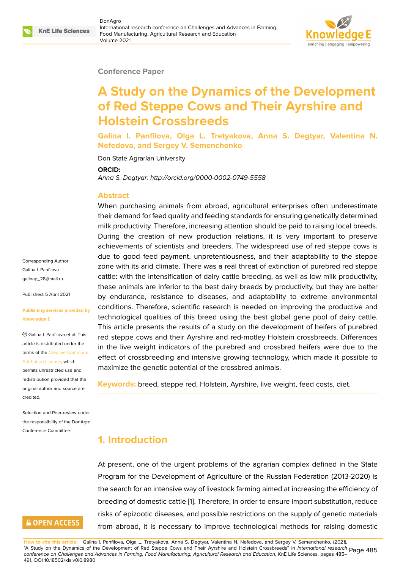#### **Conference Paper**

# **A Study on the Dynamics of the Development of Red Steppe Cows and Their Ayrshire and Holstein Crossbreeds**

**Galina I. Panfilova, Olga L. Tretyakova, Anna S. Degtyar, Valentina N. Nefedova, and Sergey V. Semenchenko**

Don State Agrarian University

#### **ORCID:**

*Anna S. Degtyar: http://orcid.org/0000-0002-0749-5558*

#### **Abstract**

When purchasing animals from abroad, agricultural enterprises often underestimate their demand for feed quality and feeding standards for ensuring genetically determined milk productivity. Therefore, increasing attention should be paid to raising local breeds. During the creation of new production relations, it is very important to preserve achievements of scientists and breeders. The widespread use of red steppe cows is due to good feed payment, unpretentiousness, and their adaptability to the steppe zone with its arid climate. There was a real threat of extinction of purebred red steppe cattle: with the intensification of dairy cattle breeding, as well as low milk productivity, these animals are inferior to the best dairy breeds by productivity, but they are better by endurance, resistance to diseases, and adaptability to extreme environmental conditions. Therefore, scientific research is needed on improving the productive and technological qualities of this breed using the best global gene pool of dairy cattle. This article presents the results of a study on the development of heifers of purebred red steppe cows and their Ayrshire and red-motley Holstein crossbreeds. Differences in the live weight indicators of the purebred and crossbred heifers were due to the effect of crossbreeding and intensive growing technology, which made it possible to maximize the genetic potential of the crossbred animals.

**Keywords:** breed, steppe red, Holstein, Ayrshire, live weight, feed costs, diet.

# **1. Introduction**

At present, one of the urgent problems of the agrarian complex defined in the State Program for the Development of Agriculture of the Russian Federation (2013-2020) is the search for an intensive way of livestock farming aimed at increasing the efficiency of breeding of domestic cattle [1]. Therefore, in order to ensure import substitution, reduce risks of epizootic diseases, and possible restrictions on the supply of genetic materials from abroad, it is necessary to improve technological methods for raising domestic

Corresponding Author: Galina I. Panfilova galinap\_28@mail.ru

Published: 5 April 2021

#### **[Publishing services](mailto:galinap_28@mail.ru) provided by Knowledge E**

Galina I. Panfilova et al. This article is distributed under the terms of the Creative Commons Attribution License, which

permits unrestricted use and redistribution provided that the original auth[or and source are](https://creativecommons.org/licenses/by/4.0/) [credited.](https://creativecommons.org/licenses/by/4.0/)

Selection and Peer-review under the responsibility of the DonAgro Conference Committee.

# **GOPEN ACCESS**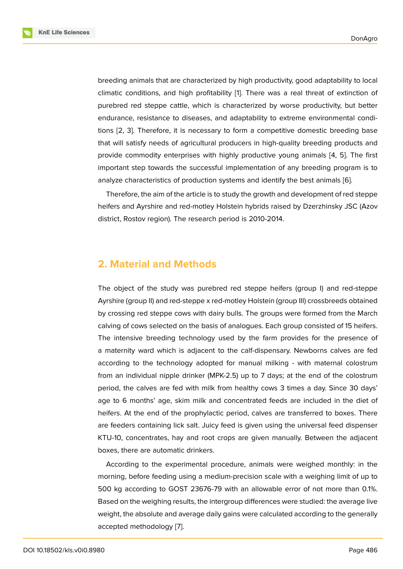breeding animals that are characterized by high productivity, good adaptability to local climatic conditions, and high profitability [1]. There was a real threat of extinction of purebred red steppe cattle, which is characterized by worse productivity, but better endurance, resistance to diseases, and adaptability to extreme environmental conditions [2, 3]. Therefore, it is necessary to f[or](#page-5-0)m a competitive domestic breeding base that will satisfy needs of agricultural producers in high-quality breeding products and provide commodity enterprises with highly productive young animals [4, 5]. The first impor[ta](#page-5-1)n[t](#page-5-2) step towards the successful implementation of any breeding program is to analyze characteristics of production systems and identify the best animals [6].

Therefore, the aim of the article is to study the growth and developme[nt o](#page-5-3)[f r](#page-6-0)ed steppe heifers and Ayrshire and red-motley Holstein hybrids raised by Dzerzhinsky JSC (Azov district, Rostov region). The research period is 2010-2014.

## **2. Material and Methods**

The object of the study was purebred red steppe heifers (group I) and red-steppe Ayrshire (group II) and red-steppe x red-motley Holstein (group III) crossbreeds obtained by crossing red steppe cows with dairy bulls. The groups were formed from the March calving of cows selected on the basis of analogues. Each group consisted of 15 heifers. The intensive breeding technology used by the farm provides for the presence of a maternity ward which is adjacent to the calf-dispensary. Newborns calves are fed according to the technology adopted for manual milking - with maternal colostrum from an individual nipple drinker (MPK-2.5) up to 7 days; at the end of the colostrum period, the calves are fed with milk from healthy cows 3 times a day. Since 30 days' age to 6 months' age, skim milk and concentrated feeds are included in the diet of heifers. At the end of the prophylactic period, calves are transferred to boxes. There are feeders containing lick salt. Juicy feed is given using the universal feed dispenser KTU-10, concentrates, hay and root crops are given manually. Between the adjacent boxes, there are automatic drinkers.

According to the experimental procedure, animals were weighed monthly: in the morning, before feeding using a medium-precision scale with a weighing limit of up to 500 kg according to GOST 23676-79 with an allowable error of not more than 0.1%. Based on the weighing results, the intergroup differences were studied: the average live weight, the absolute and average daily gains were calculated according to the generally accepted methodology [7].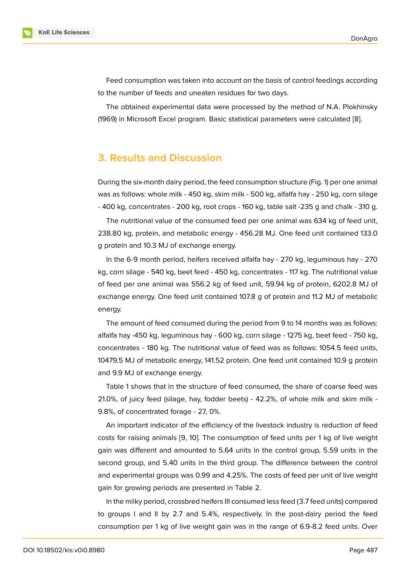Feed consumption was taken into account on the basis of control feedings according to the number of feeds and uneaten residues for two days.

The obtained experimental data were processed by the method of N.A. Plokhinsky (1969) in Microsoft Excel program. Basic statistical parameters were calculated [8].

## **3. Results and Discussion**

During the six-month dairy period, the feed consumption structure (Fig. 1) per one animal was as follows: whole milk - 450 kg, skim milk - 500 kg, alfalfa hay - 250 kg, corn silage - 400 kg, concentrates - 200 kg, root crops - 160 kg, table salt -235 g and chalk - 310 g.

The nutritional value of the consumed feed per one animal was 634 kg of feed unit, 238.80 kg, protein, and metabolic energy - 456.28 MJ. One feed unit contained 133.0 g protein and 10.3 MJ of exchange energy.

In the 6-9 month period, heifers received alfalfa hay - 270 kg, leguminous hay - 270 kg, corn silage - 540 kg, beet feed - 450 kg, concentrates - 117 kg. The nutritional value of feed per one animal was 556.2 kg of feed unit, 59.94 kg of protein, 6202.8 MJ of exchange energy. One feed unit contained 107.8 g of protein and 11.2 MJ of metabolic energy.

The amount of feed consumed during the period from 9 to 14 months was as follows: alfalfa hay -450 kg, leguminous hay - 600 kg, corn silage - 1275 kg, beet feed - 750 kg, concentrates - 180 kg. The nutritional value of feed was as follows: 1054.5 feed units, 10479.5 MJ of metabolic energy, 141.52 protein. One feed unit contained 10.9 g protein and 9.9 MJ of exchange energy.

Table 1 shows that in the structure of feed consumed, the share of coarse feed was 21.0%, of juicy feed (silage, hay, fodder beets) - 42.2%, of whole milk and skim milk - 9.8%, of concentrated forage - 27, 0%.

An important indicator of the efficiency of the livestock industry is reduction of feed costs for raising animals [9, 10]. The consumption of feed units per 1 kg of live weight gain was different and amounted to 5.64 units in the control group, 5.59 units in the second group, and 5.40 units in the third group. The difference between the control and experimental groups [w](#page-6-1)[as 0](#page-6-2).99 and 4.25%. The costs of feed per unit of live weight gain for growing periods are presented in Table 2.

In the milky period, crossbred heifers III consumed less feed (3.7 feed units) compared to groups I and II by 2.7 and 5.4%, respectively. In the post-dairy period the feed consumption per 1 kg of live weight gain was in the range of 6.9-8.2 feed units. Over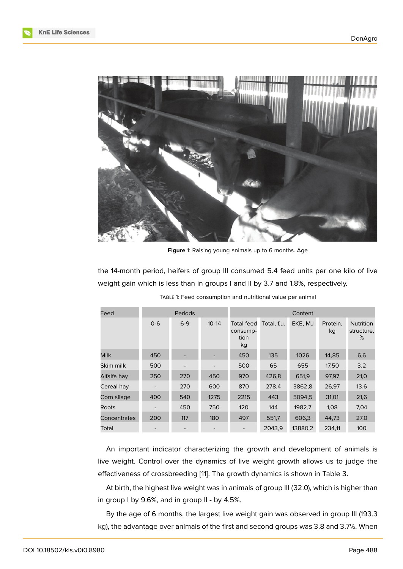

**Figure** 1: Raising young animals up to 6 months. Age

the 14-month period, heifers of group III consumed 5.4 feed units per one kilo of live weight gain which is less than in groups I and II by 3.7 and 1.8%, respectively.

| Feed         | <b>Periods</b> |                          |                          |                                      | Content     |         |                |                                     |
|--------------|----------------|--------------------------|--------------------------|--------------------------------------|-------------|---------|----------------|-------------------------------------|
|              | $0 - 6$        | $6 - 9$                  | $10-14$                  | Total feed<br>consump-<br>tion<br>kg | Total, f.u. | EKE, MJ | Protein.<br>kq | <b>Nutrition</b><br>structure,<br>% |
| <b>Milk</b>  | 450            | $\overline{\phantom{a}}$ | -                        | 450                                  | 135         | 1026    | 14,85          | 6,6                                 |
| Skim milk    | 500            | $\overline{\phantom{0}}$ | $\overline{\phantom{0}}$ | 500                                  | 65          | 655     | 17,50          | 3,2                                 |
| Alfalfa hay  | 250            | 270                      | 450                      | 970                                  | 426,8       | 651,9   | 97.97          | 21,0                                |
| Cereal hay   |                | 270                      | 600                      | 870                                  | 278,4       | 3862,8  | 26,97          | 13,6                                |
| Corn silage  | 400            | 540                      | 1275                     | 2215                                 | 443         | 5094,5  | 31,01          | 21,6                                |
| Roots        |                | 450                      | 750                      | 120                                  | 144         | 1982,7  | 1,08           | 7,04                                |
| Concentrates | 200            | 117                      | 180                      | 497                                  | 551,7       | 606,3   | 44,73          | 27,0                                |
| Total        |                | $\overline{\phantom{a}}$ | -                        | $\overline{\phantom{a}}$             | 2043,9      | 13880,2 | 234,11         | 100                                 |

TABLE 1: Feed consumption and nutritional value per animal

An important indicator characterizing the growth and development of animals is live weight. Control over the dynamics of live weight growth allows us to judge the effectiveness of crossbreeding [11]. The growth dynamics is shown in Table 3.

At birth, the highest live weight was in animals of group III (32.0), which is higher than in group I by 9.6%, and in group II - by 4.5%.

By the age of 6 months, the l[ar](#page-6-3)gest live weight gain was observed in group III (193.3 kg), the advantage over animals of the first and second groups was 3.8 and 3.7%. When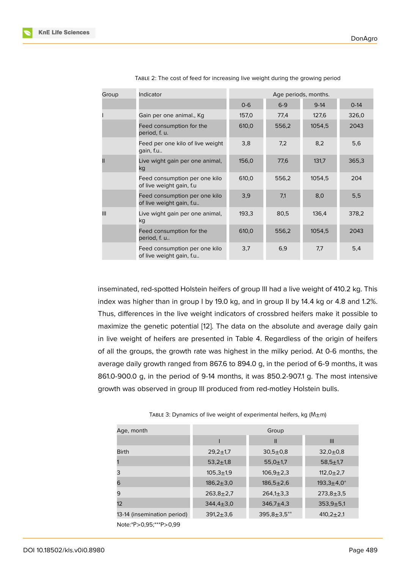| Group | Indicator                                                 | Age periods, months. |       |        |        |  |  |
|-------|-----------------------------------------------------------|----------------------|-------|--------|--------|--|--|
|       |                                                           | $0 - 6$              | $6-9$ | $9-14$ | $0-14$ |  |  |
|       | Gain per one animal., Kg                                  | 157,0                | 77,4  | 127,6  | 326,0  |  |  |
|       | Feed consumption for the<br>period, f. u.                 | 610,0                | 556,2 | 1054,5 | 2043   |  |  |
|       | Feed per one kilo of live weight<br>gain, f.u             | 3,8                  | 7,2   | 8,2    | 5,6    |  |  |
| П     | Live wight gain per one animal,<br>kg                     | 156,0                | 77,6  | 131,7  | 365,3  |  |  |
|       | Feed consumption per one kilo<br>of live weight gain, f.u | 610,0                | 556,2 | 1054,5 | 204    |  |  |
|       | Feed consumption per one kilo<br>of live weight gain, f.u | 3,9                  | 7,1   | 8,0    | 5,5    |  |  |
| Ш     | Live wight gain per one animal,<br>kg                     | 193,3                | 80,5  | 136,4  | 378,2  |  |  |
|       | Feed consumption for the<br>period, f. u                  | 610,0                | 556,2 | 1054,5 | 2043   |  |  |
|       | Feed consumption per one kilo<br>of live weight gain, f.u | 3,7                  | 6,9   | 7,7    | 5,4    |  |  |

| TABLE 2: The cost of feed for increasing live weight during the growing period |  |  |  |
|--------------------------------------------------------------------------------|--|--|--|
|                                                                                |  |  |  |

inseminated, red-spotted Holstein heifers of group III had a live weight of 410.2 kg. This index was higher than in group I by 19.0 kg, and in group II by 14.4 kg or 4.8 and 1.2%. Thus, differences in the live weight indicators of crossbred heifers make it possible to maximize the genetic potential [12]. The data on the absolute and average daily gain in live weight of heifers are presented in Table 4. Regardless of the origin of heifers of all the groups, the growth rate was highest in the milky period. At 0-6 months, the average daily growth ranged fro[m 8](#page-6-4)67.6 to 894.0 g, in the period of 6-9 months, it was 861.0-900.0 g, in the period of 9-14 months, it was 850.2-907.1 g. The most intensive growth was observed in group III produced from red-motley Holstein bulls.

| TABLE 3: Dynamics of live weight of experimental heifers, kg ( $M_{\pm}$ m) |  |
|-----------------------------------------------------------------------------|--|
|                                                                             |  |

| Age, month                  | Group           |                    |                |  |  |  |
|-----------------------------|-----------------|--------------------|----------------|--|--|--|
|                             |                 | Ш                  | III            |  |  |  |
| <b>Birth</b>                | $29.2 + 1.7$    | $30.5 + 0.8$       | $32,0+0,8$     |  |  |  |
|                             | $53,2+1,8$      | $55,0+1,7$         | $58,5+1,7$     |  |  |  |
| 3                           | $105.3 \pm 1.9$ | $106.9 + 2.3$      | $112.0 + 2.7$  |  |  |  |
| 6                           | $186,2+3,0$     | $186,5+2,6$        | $193.3 + 4.0*$ |  |  |  |
| 9                           | $263.8 + 2.7$   | $264,1 \pm 3,3$    | $273.8 + 3.5$  |  |  |  |
| 12                          | $344.4 \pm 3.0$ | $346,7+4,3$        | $353.9 + 5.1$  |  |  |  |
| 13-14 (insemination period) | $391,2+3,6$     | $395.8 \pm 3.5$ ** | $410,2+2,1$    |  |  |  |
| Note:*P>0,95;***P>0,99      |                 |                    |                |  |  |  |

DOI 10.18502/kls.v0i0.8980 Page 489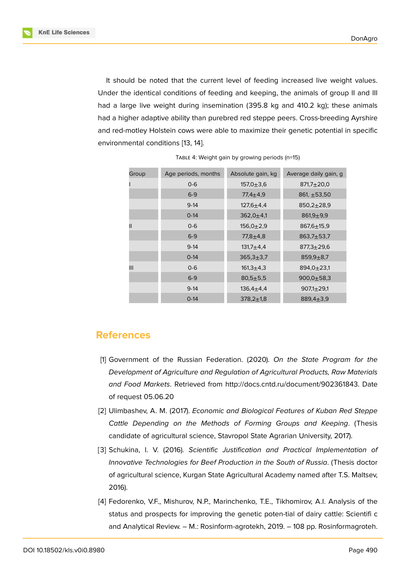It should be noted that the current level of feeding increased live weight values. Under the identical conditions of feeding and keeping, the animals of group II and III had a large live weight during insemination (395.8 kg and 410.2 kg); these animals had a higher adaptive ability than purebred red steppe peers. Cross-breeding Ayrshire and red-motley Holstein cows were able to maximize their genetic potential in specific environmental conditions [13, 14].

| Group | Age periods, months | Absolute gain, kg | Average daily gain, g |
|-------|---------------------|-------------------|-----------------------|
|       | $0 - 6$             | $157.0 + 3.6$     | $871,7+20,0$          |
|       | $6-9$               | 77,4±4,9          | 861, $\pm$ 53,50      |
|       | $9-14$              | $127.6 + 4.4$     | $850,2{\pm}28,9$      |
|       | $0-14$              | $362,0+4,1$       | $861,9+9,9$           |
| Ш     | $0 - 6$             | $156,0{\pm}2,9$   | $867,6 \pm 15,9$      |
|       | $6-9$               | $77.8 + 4.8$      | $863,7 + 53,7$        |
|       | $9-14$              | $131,7+4,4$       | $877.3 + 29.6$        |
|       | $0-14$              | $365,3 \pm 3,7$   | $859,9+8,7$           |
| Ш     | $O - 6$             | $161,3+4,3$       | $894,0+23,1$          |
|       | $6 - 9$             | $80.5 + 5.5$      | $900.0 + 58.3$        |
|       | $9-14$              | $136,4+4,4$       | $907,1 + 29,1$        |
|       | $0-14$              | $378.2 \pm 1.8$   | $889.4 + 3.9$         |

| TABLE 4: Weight gain by growing periods (n=15) |  |  |  |
|------------------------------------------------|--|--|--|

# **References**

- [1] Government of the Russian Federation. (2020). *On the State Program for the Development of Agriculture and Regulation of Agricultural Products, Raw Materials and Food Markets*. Retrieved from http://docs.cntd.ru/document/902361843. Date of request 05.06.20
- <span id="page-5-0"></span>[2] Ulimbashev, A. M. (2017). *Economic and Biological Features of Kuban Red Steppe Cattle Depending on the Metho[ds of Forming Groups and Keeping](http://docs.cntd.ru/document/902361843)*. (Thesis candidate of agricultural science, Stavropol State Agrarian University, 2017).
- <span id="page-5-1"></span>[3] Schukina, I. V. (2016). *Scientific Justification and Practical Implementation of Innovative Technologies for Beef Production in the South of Russia*. (Thesis doctor of agricultural science, Kurgan State Agricultural Academy named after T.S. Maltsev, 2016).
- <span id="page-5-3"></span><span id="page-5-2"></span>[4] Fedorenko, V.F., Mishurov, N.P., Marinchenko, T.E., Tikhomirov, A.I. Analysis of the status and prospects for improving the genetic poten-tial of dairy cattle: Scientifi c and Analytical Review. – M.: Rosinform-agrotekh, 2019. – 108 pp. Rosinformagroteh.